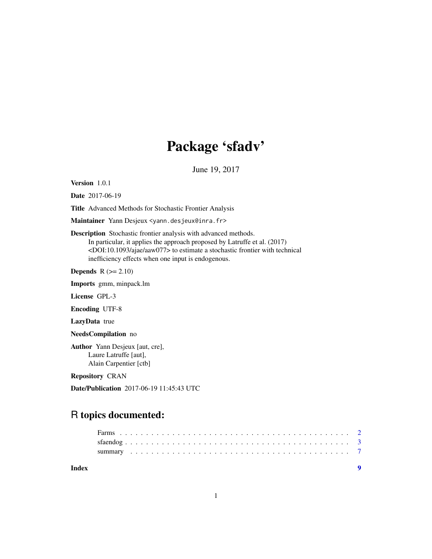## Package 'sfadv'

June 19, 2017

<span id="page-0-0"></span>Version 1.0.1

Date 2017-06-19

Title Advanced Methods for Stochastic Frontier Analysis

Maintainer Yann Desjeux <yann.desjeux@inra.fr>

Description Stochastic frontier analysis with advanced methods.

In particular, it applies the approach proposed by Latruffe et al. (2017) <DOI:10.1093/ajae/aaw077> to estimate a stochastic frontier with technical inefficiency effects when one input is endogenous.

**Depends**  $R$  ( $>= 2.10$ )

Imports gmm, minpack.lm

License GPL-3

Encoding UTF-8

LazyData true

NeedsCompilation no

Author Yann Desjeux [aut, cre], Laure Latruffe [aut], Alain Carpentier [ctb]

Repository CRAN

Date/Publication 2017-06-19 11:45:43 UTC

### R topics documented:

**Index** [9](#page-8-0)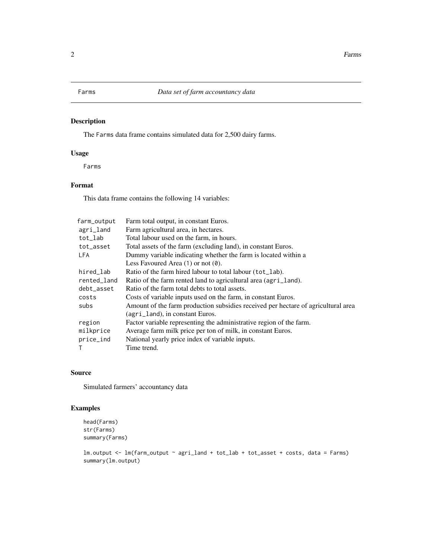#### <span id="page-1-0"></span>Description

The Farms data frame contains simulated data for 2,500 dairy farms.

#### Usage

Farms

#### Format

This data frame contains the following 14 variables:

| farm_output | Farm total output, in constant Euros.                                             |  |  |  |  |
|-------------|-----------------------------------------------------------------------------------|--|--|--|--|
| agri_land   | Farm agricultural area, in hectares.                                              |  |  |  |  |
| tot_lab     | Total labour used on the farm, in hours.                                          |  |  |  |  |
| tot_asset   | Total assets of the farm (excluding land), in constant Euros.                     |  |  |  |  |
| LFA         | Dummy variable indicating whether the farm is located within a                    |  |  |  |  |
|             | Less Favoured Area $(1)$ or not $(0)$ .                                           |  |  |  |  |
| hired_lab   | Ratio of the farm hired labour to total labour (tot_lab).                         |  |  |  |  |
| rented_land | Ratio of the farm rented land to agricultural area (agri_land).                   |  |  |  |  |
| debt_asset  | Ratio of the farm total debts to total assets.                                    |  |  |  |  |
| costs       | Costs of variable inputs used on the farm, in constant Euros.                     |  |  |  |  |
| subs        | Amount of the farm production subsidies received per hectare of agricultural area |  |  |  |  |
|             | (agri_land), in constant Euros.                                                   |  |  |  |  |
| region      | Factor variable representing the administrative region of the farm.               |  |  |  |  |
| milkprice   | Average farm milk price per ton of milk, in constant Euros.                       |  |  |  |  |
| price_ind   | National yearly price index of variable inputs.                                   |  |  |  |  |
| т           | Time trend.                                                                       |  |  |  |  |

#### Source

Simulated farmers' accountancy data

#### Examples

```
head(Farms)
str(Farms)
summary(Farms)
```

```
lm.output <- lm(farm_output ~ agri_land + tot_lab + tot_asset + costs, data = Farms)
summary(lm.output)
```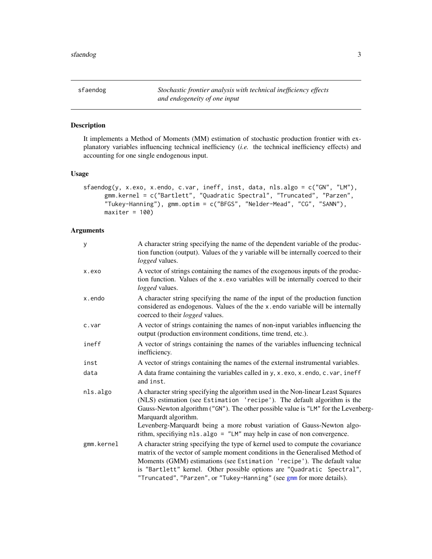<span id="page-2-1"></span><span id="page-2-0"></span>sfaendog *Stochastic frontier analysis with technical inefficiency effects and endogeneity of one input*

#### Description

It implements a Method of Moments (MM) estimation of stochastic production frontier with explanatory variables influencing technical inefficiency (*i.e.* the technical inefficiency effects) and accounting for one single endogenous input.

#### Usage

```
sfaendog(y, x.exo, x.endo, c.var, ineff, inst, data, nls.algo = c("GN", "LM"),
     gmm.kernel = c("Bartlett", "Quadratic Spectral", "Truncated", "Parzen",
      "Tukey-Hanning"), gmm.optim = c("BFGS", "Nelder-Mead", "CG", "SANN"),
     maxiter = 100
```
#### Arguments

| y          | A character string specifying the name of the dependent variable of the produc-<br>tion function (output). Values of the y variable will be internally coerced to their<br>logged values.                                                                                                                                                                                                     |
|------------|-----------------------------------------------------------------------------------------------------------------------------------------------------------------------------------------------------------------------------------------------------------------------------------------------------------------------------------------------------------------------------------------------|
| x.exo      | A vector of strings containing the names of the exogenous inputs of the produc-<br>tion function. Values of the x.exo variables will be internally coerced to their<br>logged values.                                                                                                                                                                                                         |
| x.endo     | A character string specifying the name of the input of the production function<br>considered as endogenous. Values of the the x.endo variable will be internally<br>coerced to their <i>logged</i> values.                                                                                                                                                                                    |
| c.var      | A vector of strings containing the names of non-input variables influencing the<br>output (production environment conditions, time trend, etc.).                                                                                                                                                                                                                                              |
| ineff      | A vector of strings containing the names of the variables influencing technical<br>inefficiency.                                                                                                                                                                                                                                                                                              |
| inst       | A vector of strings containing the names of the external instrumental variables.                                                                                                                                                                                                                                                                                                              |
| data       | A data frame containing the variables called in y, x.exo, x.endo, c.var, ineff<br>and inst.                                                                                                                                                                                                                                                                                                   |
| nls.algo   | A character string specifying the algorithm used in the Non-linear Least Squares<br>(NLS) estimation (see Estimation 'recipe'). The default algorithm is the<br>Gauss-Newton algorithm ("GN"). The other possible value is "LM" for the Levenberg-<br>Marquardt algorithm.                                                                                                                    |
|            | Levenberg-Marquardt being a more robust variation of Gauss-Newton algo-<br>rithm, specifiying nls.algo = "LM" may help in case of non convergence.                                                                                                                                                                                                                                            |
| gmm.kernel | A character string specifying the type of kernel used to compute the covariance<br>matrix of the vector of sample moment conditions in the Generalised Method of<br>Moments (GMM) estimations (see Estimation 'recipe'). The default value<br>is "Bartlett" kernel. Other possible options are "Quadratic Spectral",<br>"Truncated", "Parzen", or "Tukey-Hanning" (see gmm for more details). |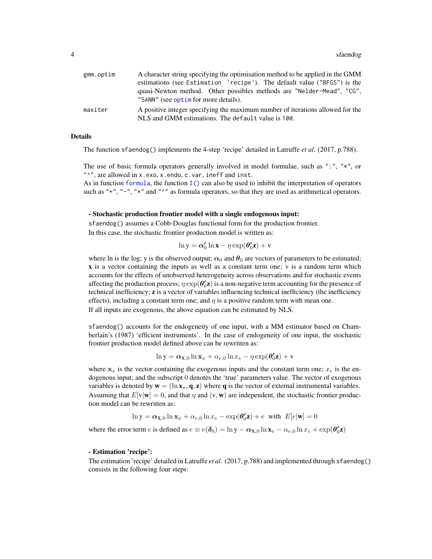<span id="page-3-0"></span>

| gmm.optim | A character string specifying the optimisation method to be applied in the GMM                                                       |  |  |  |  |
|-----------|--------------------------------------------------------------------------------------------------------------------------------------|--|--|--|--|
|           | estimations (see Estimation 'recipe'). The default value ("BFGS") is the                                                             |  |  |  |  |
|           | quasi-Newton method. Other possibles methods are "Nelder-Mead", "CG",<br>"SANN" (see optim for more details).                        |  |  |  |  |
| maxiter   | A positive integer specifying the maximum number of iterations allowed for the<br>NLS and GMM estimations. The default value is 100. |  |  |  |  |

#### Details

The function sfaendog() implements the 4-step 'recipe' detailed in Latruffe *et al*. (2017, p.788).

The use of basic formula operators generally involved in model formulae, such as ":", "\*", or "^", are allowed in x.exo, x.endo, c.var, ineff and inst.

As in function [formula](#page-0-0), the function  $I()$  can also be used to inhibit the interpretation of operators such as "+", "-", " $\star$ " and " $\star$ " as formula operators, so that they are used as arithmetical operators.

#### - Stochastic production frontier model with a single endogenous input:

sfaendog() assumes a Cobb-Douglas functional form for the production frontier. In this case, the stochastic frontier production model is written as:

$$
\ln y = \alpha'_0 \ln x - \eta \exp(\theta'_0 z) + v
$$

where ln is the log; y is the observed output;  $\alpha_0$  and  $\theta_0$  are vectors of parameters to be estimated; x is a vector containing the inputs as well as a constant term one; v is a random term which accounts for the effects of unobserved heterogeneity across observations and for stochastic events affecting the production process;  $\eta \exp(\theta_0' \mathbf{z})$  is a non-negative term accounting for the presence of technical inefficiency; z is a vector of variables influencing technical inefficiency (the inefficiency effects), including a constant term one; and  $\eta$  is a positive random term with mean one. If all inputs are exogenous, the above equation can be estimated by NLS.

sfaendog() accounts for the endogeneity of one input, with a MM estimator based on Chamberlain's (1987) 'efficient instruments'. In the case of endogeneity of one input, the stochastic frontier production model defined above can be rewritten as:

$$
\ln y = \alpha_{\mathbf{X},0} \ln \mathbf{x}_{x} + \alpha_{e,0} \ln x_{e} - \eta \exp(\theta_{0}' \mathbf{z}) + \mathbf{v}
$$

where  $x_x$  is the vector containing the exogenous inputs and the constant term one;  $x_e$  is the endogenous input; and the subscript 0 denotes the 'true' parameters value. The vector of exogenous variables is denoted by  $\mathbf{w} = (\ln \mathbf{x}_x, \mathbf{q}, \mathbf{z})$  where **q** is the vector of external instrumental variables. Assuming that  $E[v|\mathbf{w}] = 0$ , and that  $\eta$  and  $(v, \mathbf{w})$  are independent, the stochastic frontier production model can be rewritten as:

$$
\ln y = \alpha_{\mathbf{X},0} \ln \mathbf{x}_x + \alpha_{e,0} \ln x_e - \exp(\theta_0' \mathbf{z}) + e \text{ with } E[e|\mathbf{w}] = 0
$$

where the error term e is defined as  $e \equiv e(\delta_0) = \ln y - \alpha_{X,0} \ln x_x - \alpha_{e,0} \ln x_e + \exp(\theta_0' \mathbf{z})$ 

#### - Estimation 'recipe':

The estimation 'recipe' detailed in Latruffe *et al*. (2017, p.788) and implemented through sfaendog() consists in the following four steps: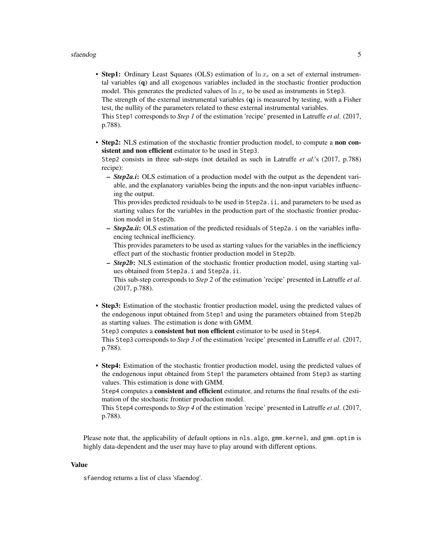#### sfaendog i Statistike Statistike Statistike Statistike Statistike Statistike Statistike Statistike Statistike

• Step1: Ordinary Least Squares (OLS) estimation of  $\ln x_e$  on a set of external instrumental variables (q) and all exogenous variables included in the stochastic frontier production model. This generates the predicted values of  $\ln x_e$  to be used as instruments in Step3.

The strength of the external instrumental variables  $(q)$  is measured by testing, with a Fisher test, the nullity of the parameters related to these external instrumental variables.

This Step1 corresponds to *Step 1* of the estimation 'recipe' presented in Latruffe *et al*. (2017, p.788).

• Step2: NLS estimation of the stochastic frontier production model, to compute a non consistent and non efficient estimator to be used in Step3.

Step2 consists in three sub-steps (not detailed as such in Latruffe *et al*.'s (2017, p.788) recipe):

– *Step2a.i*: OLS estimation of a production model with the output as the dependent variable, and the explanatory variables being the inputs and the non-input variables influencing the output.

This provides predicted residuals to be used in Step2a.ii, and parameters to be used as starting values for the variables in the production part of the stochastic frontier production model in Step2b.

– *Step2a.ii*: OLS estimation of the predicted residuals of Step2a.i on the variables influencing technical inefficiency.

This provides parameters to be used as starting values for the variables in the inefficiency effect part of the stochastic frontier production model in Step2b.

– *Step2b*: NLS estimation of the stochastic frontier production model, using starting values obtained from Step2a.i and Step2a.ii.

This sub-step corresponds to *Step 2* of the estimation 'recipe' presented in Latruffe *et al*. (2017, p.788).

• Step3: Estimation of the stochastic frontier production model, using the predicted values of the endogenous input obtained from Step1 and using the parameters obtained from Step2b as starting values. The estimation is done with GMM.

Step3 computes a **consistent but non efficient** estimator to be used in Step4.

This Step3 corresponds to *Step 3* of the estimation 'recipe' presented in Latruffe *et al*. (2017, p.788).

• Step4: Estimation of the stochastic frontier production model, using the predicted values of the endogenous input obtained from Step1 the parameters obtained from Step3 as starting values. This estimation is done with GMM.

Step4 computes a **consistent and efficient** estimator, and returns the final results of the estimation of the stochastic frontier production model.

This Step4 corresponds to *Step 4* of the estimation 'recipe' presented in Latruffe *et al*. (2017, p.788).

Please note that, the applicability of default options in nls.algo, gmm.kernel, and gmm.optim is highly data-dependent and the user may have to play around with different options.

#### Value

sfaendog returns a list of class 'sfaendog'.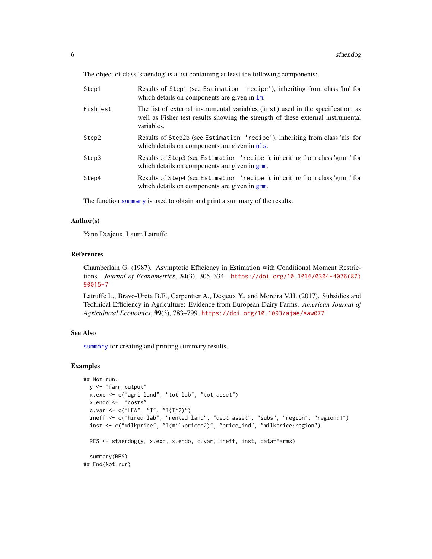<span id="page-5-0"></span>The object of class 'sfaendog' is a list containing at least the following components:

| Step1    | Results of Step1 (see Estimation 'recipe'), inheriting from class 'lm' for<br>which details on components are given in $\text{Im}$ .                                              |
|----------|-----------------------------------------------------------------------------------------------------------------------------------------------------------------------------------|
| FishTest | The list of external instrumental variables (inst) used in the specification, as<br>well as Fisher test results showing the strength of these external instrumental<br>variables. |
| Step2    | Results of Step2b (see Estimation 'recipe'), inheriting from class 'nls' for<br>which details on components are given in nls.                                                     |
| Step3    | Results of Step3 (see Estimation 'recipe'), inheriting from class 'gmm' for<br>which details on components are given in gnm.                                                      |
| Step4    | Results of Step4 (see Estimation 'recipe'), inheriting from class 'gmm' for<br>which details on components are given in gmm.                                                      |

The function [summary](#page-6-1) is used to obtain and print a summary of the results.

#### Author(s)

Yann Desjeux, Laure Latruffe

#### References

Chamberlain G. (1987). Asymptotic Efficiency in Estimation with Conditional Moment Restrictions. *Journal of Econometrics*, 34(3), 305–334. [https://doi.org/10.1016/0304-4076\(87\)](https://doi.org/10.1016/0304-4076(87)90015-7) [90015-7](https://doi.org/10.1016/0304-4076(87)90015-7)

Latruffe L., Bravo-Ureta B.E., Carpentier A., Desjeux Y., and Moreira V.H. (2017). Subsidies and Technical Efficiency in Agriculture: Evidence from European Dairy Farms. *American Journal of Agricultural Economics*, 99(3), 783–799. <https://doi.org/10.1093/ajae/aaw077>

#### See Also

[summary](#page-6-1) for creating and printing summary results.

#### Examples

```
## Not run:
 y <- "farm_output"
 x.exo <- c("agri_land", "tot_lab", "tot_asset")
 x.endo <- "costs"
 c.var <- c("LFA", "T", "I(T^2)")
 ineff <- c("hired_lab", "rented_land", "debt_asset", "subs", "region", "region:T")
 inst <- c("milkprice", "I(milkprice^2)", "price_ind", "milkprice:region")
 RES <- sfaendog(y, x.exo, x.endo, c.var, ineff, inst, data=Farms)
 summary(RES)
## End(Not run)
```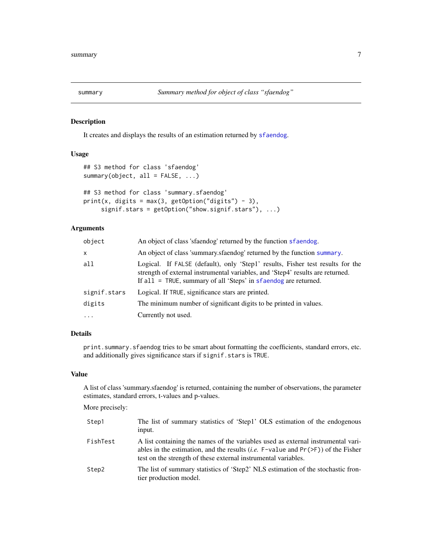<span id="page-6-0"></span>

#### <span id="page-6-1"></span>Description

It creates and displays the results of an estimation returned by [sfaendog](#page-2-1).

#### Usage

```
## S3 method for class 'sfaendog'
summary(object, all = FALSE, ...)
## S3 method for class 'summary.sfaendog'
```

```
print(x, digits = max(3, getOption("digits") - 3),signif.stars = getOption("show.signif.stars"), ...)
```
#### Arguments

| object       | An object of class 'sfaendog' returned by the function sfaendog.                                                                                                                                                                    |
|--------------|-------------------------------------------------------------------------------------------------------------------------------------------------------------------------------------------------------------------------------------|
| $\mathsf{x}$ | An object of class 'summary sfaendog' returned by the function summary.                                                                                                                                                             |
| all          | Logical. If FALSE (default), only 'Step1' results, Fisher test results for the<br>strength of external instrumental variables, and 'Step4' results are returned.<br>If all = TRUE, summary of all 'Steps' in sfaendog are returned. |
| signif.stars | Logical. If TRUE, significance stars are printed.                                                                                                                                                                                   |
| digits       | The minimum number of significant digits to be printed in values.                                                                                                                                                                   |
| $\cdot$      | Currently not used.                                                                                                                                                                                                                 |

#### Details

print.summary.sfaendog tries to be smart about formatting the coefficients, standard errors, etc. and additionally gives significance stars if signif.stars is TRUE.

#### Value

A list of class 'summary.sfaendog' is returned, containing the number of observations, the parameter estimates, standard errors, t-values and p-values.

#### More precisely:

| Step1    | The list of summary statistics of 'Step1' OLS estimation of the endogenous<br>input.                                                                                                                                                              |
|----------|---------------------------------------------------------------------------------------------------------------------------------------------------------------------------------------------------------------------------------------------------|
| FishTest | A list containing the names of the variables used as external instrumental vari-<br>ables in the estimation, and the results ( <i>i.e.</i> F-value and $Pr(>\)$ ) of the Fisher<br>test on the strength of these external instrumental variables. |
| Step2    | The list of summary statistics of 'Step2' NLS estimation of the stochastic fron-<br>tier production model.                                                                                                                                        |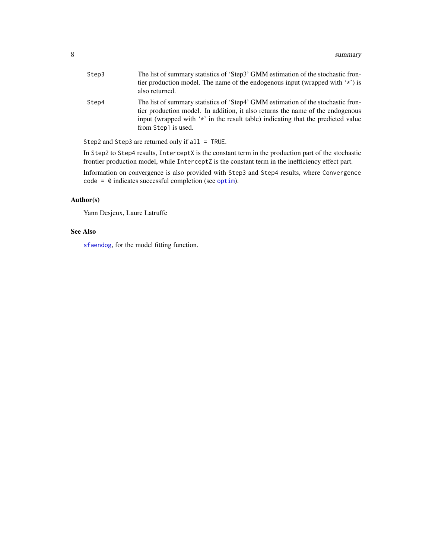<span id="page-7-0"></span>

| Step3 | The list of summary statistics of 'Step3' GMM estimation of the stochastic fron-<br>tier production model. The name of the endogenous input (wrapped with $\star$ ) is<br>also returned.                                                                                      |
|-------|-------------------------------------------------------------------------------------------------------------------------------------------------------------------------------------------------------------------------------------------------------------------------------|
| Step4 | The list of summary statistics of 'Step4' GMM estimation of the stochastic fron-<br>tier production model. In addition, it also returns the name of the endogenous<br>input (wrapped with '*' in the result table) indicating that the predicted value<br>from Step1 is used. |

Step2 and Step3 are returned only if all = TRUE.

In Step2 to Step4 results, InterceptX is the constant term in the production part of the stochastic frontier production model, while InterceptZ is the constant term in the inefficiency effect part.

Information on convergence is also provided with Step3 and Step4 results, where Convergence code = 0 indicates successful completion (see [optim](#page-0-0)).

#### Author(s)

Yann Desjeux, Laure Latruffe

#### See Also

[sfaendog](#page-2-1), for the model fitting function.